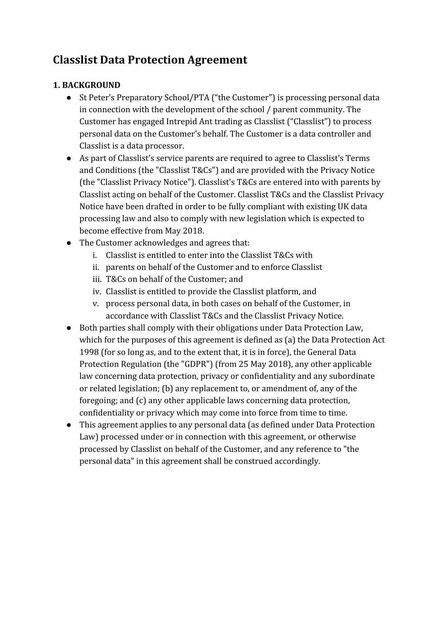# **Classlist Data Protection Agreement**

## **1. BACKGROUND**

- St Peter's Preparatory School/PTA ("the Customer") is processing personal data in connection with the development of the school / parent community. The Customer has engaged Intrepid Ant trading as Classlist ("Classlist") to process personal data on the Customer's behalf. The Customer is a data controller and Classlist is a data processor.
- As part of Classlist's service parents are required to agree to Classlist's Terms and Conditions (the "Classlist T&Cs") and are provided with the Privacy Notice (the "Classlist Privacy Notice"). Classlist's T&Cs are entered into with parents by Classlist acting on behalf of the Customer. Classlist T&Cs and the Classlist Privacy Notice have been drafted in order to be fully compliant with existing UK data processing law and also to comply with new legislation which is expected to become effective from May 2018.
- The Customer acknowledges and agrees that:
	- i. Classlist is entitled to enter into the Classlist T&Cs with
	- ii. parents on behalf of the Customer and to enforce Classlist
	- iii. T&Cs on behalf of the Customer; and
	- iv. Classlist is entitled to provide the Classlist platform, and
	- v. process personal data, in both cases on behalf of the Customer, in accordance with Classlist T&Cs and the Classlist Privacy Notice.
- Both parties shall comply with their obligations under Data Protection Law, which for the purposes of this agreement is defined as (a) the Data Protection Act 1998 (for so long as, and to the extent that, it is in force), the General Data Protection Regulation (the "GDPR") (from 25 May 2018), any other applicable law concerning data protection, privacy or confidentiality and any subordinate or related legislation; (b) any replacement to, or amendment of, any of the foregoing; and (c) any other applicable laws concerning data protection, confidentiality or privacy which may come into force from time to time.
- This agreement applies to any personal data (as defined under Data Protection Law) processed under or in connection with this agreement, or otherwise processed by Classlist on behalf of the Customer, and any reference to "the personal data" in this agreement shall be construed accordingly.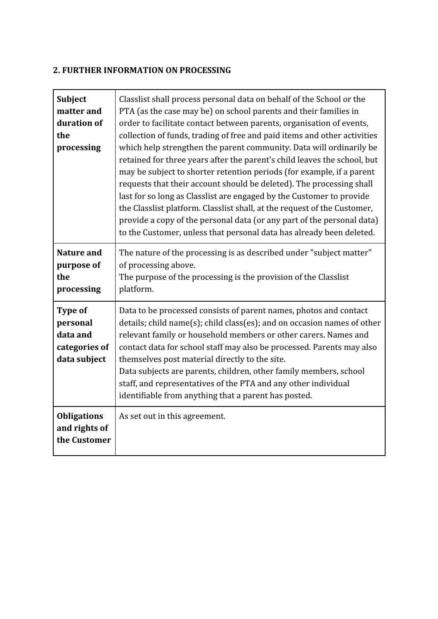## **2. FURTHER INFORMATION ON PROCESSING**

| <b>Subject</b><br>matter and<br>duration of<br>the<br>processing | Classlist shall process personal data on behalf of the School or the<br>PTA (as the case may be) on school parents and their families in<br>order to facilitate contact between parents, organisation of events,<br>collection of funds, trading of free and paid items and other activities<br>which help strengthen the parent community. Data will ordinarily be<br>retained for three years after the parent's child leaves the school, but<br>may be subject to shorter retention periods (for example, if a parent<br>requests that their account should be deleted). The processing shall<br>last for so long as Classlist are engaged by the Customer to provide<br>the Classlist platform. Classlist shall, at the request of the Customer,<br>provide a copy of the personal data (or any part of the personal data)<br>to the Customer, unless that personal data has already been deleted. |
|------------------------------------------------------------------|--------------------------------------------------------------------------------------------------------------------------------------------------------------------------------------------------------------------------------------------------------------------------------------------------------------------------------------------------------------------------------------------------------------------------------------------------------------------------------------------------------------------------------------------------------------------------------------------------------------------------------------------------------------------------------------------------------------------------------------------------------------------------------------------------------------------------------------------------------------------------------------------------------|
| <b>Nature and</b><br>purpose of<br>the<br>processing             | The nature of the processing is as described under "subject matter"<br>of processing above.<br>The purpose of the processing is the provision of the Classlist<br>platform.                                                                                                                                                                                                                                                                                                                                                                                                                                                                                                                                                                                                                                                                                                                            |
| Type of<br>personal<br>data and<br>categories of<br>data subject | Data to be processed consists of parent names, photos and contact<br>details; child name(s); child class(es); and on occasion names of other<br>relevant family or household members or other carers. Names and<br>contact data for school staff may also be processed. Parents may also<br>themselves post material directly to the site.<br>Data subjects are parents, children, other family members, school<br>staff, and representatives of the PTA and any other individual<br>identifiable from anything that a parent has posted.                                                                                                                                                                                                                                                                                                                                                              |
| <b>Obligations</b><br>and rights of<br>the Customer              | As set out in this agreement.                                                                                                                                                                                                                                                                                                                                                                                                                                                                                                                                                                                                                                                                                                                                                                                                                                                                          |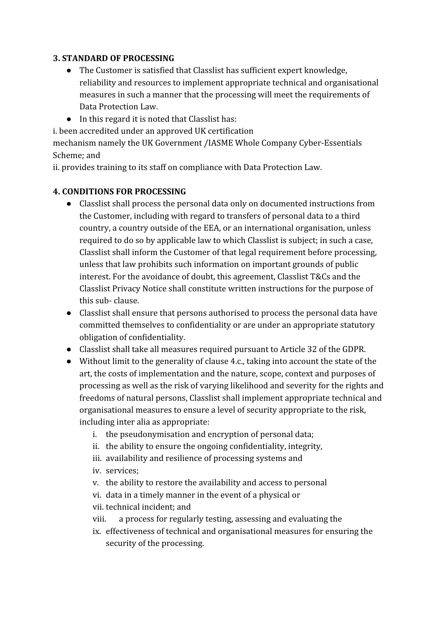#### **3. STANDARD OF PROCESSING**

- The Customer is satisfied that Classlist has sufficient expert knowledge, reliability and resources to implement appropriate technical and organisational measures in such a manner that the processing will meet the requirements of Data Protection Law.
- In this regard it is noted that Classlist has:

i. been accredited under an approved UK certification

mechanism namely the UK Government /IASME Whole Company Cyber-Essentials Scheme; and

ii. provides training to its staff on compliance with Data Protection Law.

#### **4. CONDITIONS FOR PROCESSING**

- Classlist shall process the personal data only on documented instructions from the Customer, including with regard to transfers of personal data to a third country, a country outside of the EEA, or an international organisation, unless required to do so by applicable law to which Classlist is subject; in such a case, Classlist shall inform the Customer of that legal requirement before processing, unless that law prohibits such information on important grounds of public interest. For the avoidance of doubt, this agreement, Classlist T&Cs and the Classlist Privacy Notice shall constitute written instructions for the purpose of this sub- clause.
- Classlist shall ensure that persons authorised to process the personal data have committed themselves to confidentiality or are under an appropriate statutory obligation of confidentiality.
- Classlist shall take all measures required pursuant to Article 32 of the GDPR.
- Without limit to the generality of clause 4.c., taking into account the state of the art, the costs of implementation and the nature, scope, context and purposes of processing as well as the risk of varying likelihood and severity for the rights and freedoms of natural persons, Classlist shall implement appropriate technical and organisational measures to ensure a level of security appropriate to the risk, including inter alia as appropriate:
	- i. the pseudonymisation and encryption of personal data;
	- ii. the ability to ensure the ongoing confidentiality, integrity,
	- iii. availability and resilience of processing systems and
	- iv. services;
	- v. the ability to restore the availability and access to personal
	- vi. data in a timely manner in the event of a physical or
	- vii. technical incident; and
	- viii. a process for regularly testing, assessing and evaluating the
	- ix. effectiveness of technical and organisational measures for ensuring the security of the processing.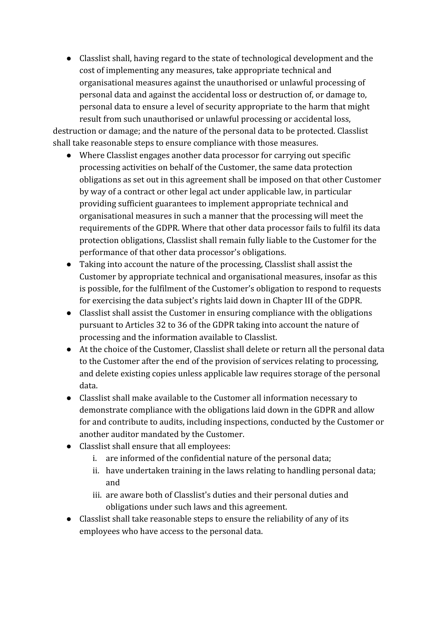● Classlist shall, having regard to the state of technological development and the cost of implementing any measures, take appropriate technical and organisational measures against the unauthorised or unlawful processing of personal data and against the accidental loss or destruction of, or damage to, personal data to ensure a level of security appropriate to the harm that might result from such unauthorised or unlawful processing or accidental loss,

destruction or damage; and the nature of the personal data to be protected. Classlist shall take reasonable steps to ensure compliance with those measures.

- Where Classlist engages another data processor for carrying out specific processing activities on behalf of the Customer, the same data protection obligations as set out in this agreement shall be imposed on that other Customer by way of a contract or other legal act under applicable law, in particular providing sufficient guarantees to implement appropriate technical and organisational measures in such a manner that the processing will meet the requirements of the GDPR. Where that other data processor fails to fulfil its data protection obligations, Classlist shall remain fully liable to the Customer for the performance of that other data processor's obligations.
- Taking into account the nature of the processing, Classlist shall assist the Customer by appropriate technical and organisational measures, insofar as this is possible, for the fulfilment of the Customer's obligation to respond to requests for exercising the data subject's rights laid down in Chapter III of the GDPR.
- Classlist shall assist the Customer in ensuring compliance with the obligations pursuant to Articles 32 to 36 of the GDPR taking into account the nature of processing and the information available to Classlist.
- At the choice of the Customer, Classlist shall delete or return all the personal data to the Customer after the end of the provision of services relating to processing, and delete existing copies unless applicable law requires storage of the personal data.
- Classlist shall make available to the Customer all information necessary to demonstrate compliance with the obligations laid down in the GDPR and allow for and contribute to audits, including inspections, conducted by the Customer or another auditor mandated by the Customer.
- Classlist shall ensure that all employees:
	- i. are informed of the confidential nature of the personal data;
	- ii. have undertaken training in the laws relating to handling personal data; and
	- iii. are aware both of Classlist's duties and their personal duties and obligations under such laws and this agreement.
- Classlist shall take reasonable steps to ensure the reliability of any of its employees who have access to the personal data.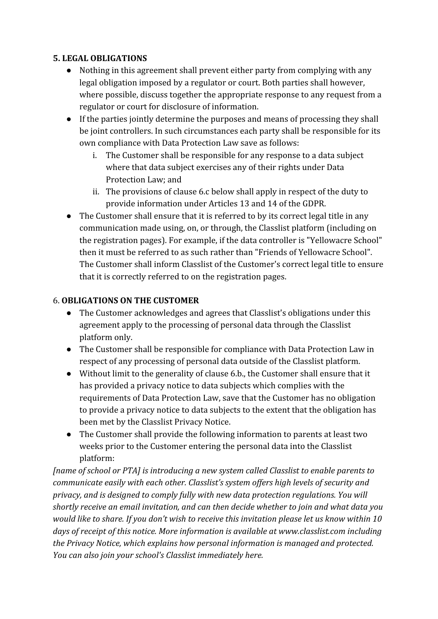#### **5. LEGAL OBLIGATIONS**

- Nothing in this agreement shall prevent either party from complying with any legal obligation imposed by a regulator or court. Both parties shall however, where possible, discuss together the appropriate response to any request from a regulator or court for disclosure of information.
- If the parties jointly determine the purposes and means of processing they shall be joint controllers. In such circumstances each party shall be responsible for its own compliance with Data Protection Law save as follows:
	- i. The Customer shall be responsible for any response to a data subject where that data subject exercises any of their rights under Data Protection Law; and
	- ii. The provisions of clause 6.c below shall apply in respect of the duty to provide information under Articles 13 and 14 of the GDPR.
- The Customer shall ensure that it is referred to by its correct legal title in any communication made using, on, or through, the Classlist platform (including on the registration pages). For example, if the data controller is "Yellowacre School" then it must be referred to as such rather than "Friends of Yellowacre School". The Customer shall inform Classlist of the Customer's correct legal title to ensure that it is correctly referred to on the registration pages.

## 6. **OBLIGATIONS ON THE CUSTOMER**

- The Customer acknowledges and agrees that Classlist's obligations under this agreement apply to the processing of personal data through the Classlist platform only.
- The Customer shall be responsible for compliance with Data Protection Law in respect of any processing of personal data outside of the Classlist platform.
- Without limit to the generality of clause 6.b., the Customer shall ensure that it has provided a privacy notice to data subjects which complies with the requirements of Data Protection Law, save that the Customer has no obligation to provide a privacy notice to data subjects to the extent that the obligation has been met by the Classlist Privacy Notice.
- The Customer shall provide the following information to parents at least two weeks prior to the Customer entering the personal data into the Classlist platform:

*[name of school or PTA] is introducing a new system called Classlist to enable parents to communicate easily with each other. Classlist's system offers high levels of security and privacy, and is designed to comply fully with new data protection regulations. You will shortly receive an email invitation, and can then decide whether to join and what data you would like to share. If you don't wish to receive this invitation please let us know within 10 days of receipt of this notice. More information is available at www.classlist.com including the Privacy Notice, which explains how personal information is managed and protected. You can also join your school's Classlist immediately here.*